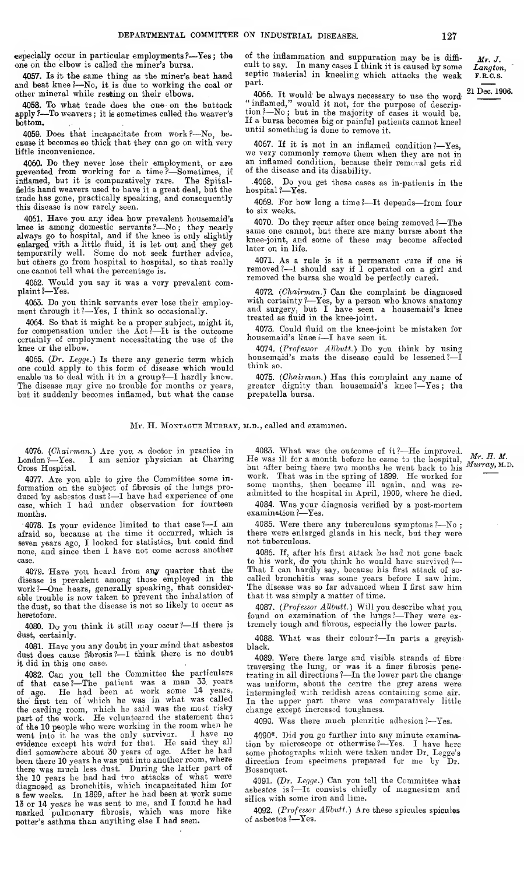Mr. J. Langton, F.R.C.S.

especially occur in particular employments ?- Yes; the of the inflammation and suppuration may be is diffione on the elbow is called the miner's bursa.

4057. Is it the same thing as the miner's beat hand and beat knee ?—No, it is due to working the coal or other mineral while resting on their elbows.

4058. To what trade does the one on the buttock apply ?-- To weavers; it is sometimes called the weaver's bottom.

4059. Does that incapacitate from work?--No, because it becomes so thick that they can go on with very little inconvenience.

4060. Do they never lose their employment, or are prevented from working for a time?-Sometimes, if<br>inflamed, but it is comparatively rare. The Spitalinflamed, but it is comparatively rare. fields hand weavers used to have it a great deal, but the trade has gone, practically speaking, and consequently this disease is now rarely seen.

4061. Have you any idea how prevalent housemaid's knee is among domestic servants ?—No ; they nearly always go to hospital, and if the knee is only slightly enlarged with a little fluid, it is let out and they get temporarily well. Some do not seek further advice, but others go from hospital to hospital, so that really one cannot tell what the percentage is.

4062. Would you say it was a very prevalent com-plaint ?—Yes.

4063. Do you think servants ever lose their employ ment through it ?—Yes, <sup>I</sup> think so occasionally.

4064. So that it might be a proper subject, might it, for compensation under the  $Act^2-It$  is the outcome certainly of employment necessitating the use of the knee or the elbow.

4065. (Dr. Legge.) Is there any generic term which one could apply to this form of disease which would enable us to deal with it in <sup>a</sup> group?—<sup>I</sup> hardly know. The disease may give no trouble for months or years, but it suddenly becomes inflamed, but what the cause

cult to say. In many cases I think it is caused by some septic material in kneeling which attacks the weak part.

4066. It would be always necessary to use the word  $21$ "inflamed," would it not, for the purpose of descrip tion?—No; but in the majority of cases it would be. If a bursa becomes big or painful patients cannot kneel until something is done to remove it. 21 Dec. 1906.

4067. If it is not in an inflamed condition?—Yes, we very commonly remove them when they are not in an inflamed condition, because their removal gets rid of the disease and its disability.

.4068. Do you get these cases as in-patients in the hospital ?—Yes.

4069. For how long <sup>a</sup> time <sup>1</sup>—It depends—from four to sis weeks.

4070. Do they recur after once being removed ?—The same one cannot, but there are many bursse about the knee-joint, and some of these may become affected later on in life.

4071. As a rule is it a permanent cure if one is removed ?—<sup>I</sup> should say if <sup>I</sup> operated on <sup>a</sup> girl and removed the bursa she would be perfectly cured.

4072. (Chairman.) Can the complaint be diagnosed with certainty ?—Yes, by a person who knows anatomy<br>and surgery, but I have seen a housemaid's knee treated as fluid in the knee-joint.

4073. Could fluid on the knee-joint be mistaken for housemaid's knee i-I have seen it.

4074. (Professor Allbutt.) Do you think by using housemaid's mats the disease could be lessened ?—I think so.

4075. (Chairman.) Has this complaint any name of greater dignity than housemaid's knee ?—Yes ; the prepatella bursa.

## Mr. H. MONTAGUE MURRAY, M.D., called and examined.

4076. (*Chairman.*) Are you. a doctor in practice in London?—Yes. I am senior physician at Charing I am senior physician at Charing Cross Hospital.

4077. Are you able to give the Committee some in formation on the subject of filbrosis of the lungs pro- duced by asbestos dust ?—<sup>I</sup> have had experience of one case, which I had under observation for fourteen months.

4078. Is your evidence limited to that case  $? - I$  am afraid so, because at the time it occurred, which is seven years ago, I looked for statistics, but could find none, and since then I have not come across another case.

4079. Have you heard from any quarter that the disease is prevalent among those employed in\_ thb work?—One hears, generally speaking, that considerable trouble is now taken to prevent the inhalation of the dust, so that the disease is not so likely to occur as heretofore.

4080. Do you think it still may occur?—If there is dust, certainly.

4081. Have you any doubt in your mind that asbestos dust does cause fibrosis?—<sup>I</sup> think there is no doubt it did in this one case.

4082. Can you tell the Committee the particulars of that case?—The patient was <sup>a</sup> man 33. years of age. He had been at work some <sup>14</sup> years, the first ten of 'which he was in what was called the carding room, which he said was the most risky part of the work. He volunteered the statement that of the <sup>10</sup> people who were working in the room when he went into it he was the only survivor. I have no evidence except his word for that. He said they all died somewhere about 30 years of age. After he had been there 10 years he was put into another room, where there was much less dust. During the latter part of the 10 years he had had two attacks of what were diagnosed as bronchitis, which incapacitated him for <sup>a</sup> few weeks. In 1899, after he had been at work some <sup>13</sup> or 14 years he was sent to me, and <sup>I</sup> found he had marked pulmonary fibrosis, which was more like potter's asthma than anything else <sup>I</sup> had seen.

4083. What was the outcome of it?—He improved,  $Mr. H. M.$ <br>He was ill for a month before he came to the hospital,  $Mr. H. M.$ He was ill for a month before he came to the hospital,  $Mr. H. M.$ <br>but after being there two months he went back to his  $Murray, M.D.$ work. That was in the spring of 1899. He worked for some months, then became ill again, and was re admitted to the hospital in April, 1900, where he died.

4084. Was. your diagnosis verified by a post-mortem examination ?—Yes.

4085. Were there any tuberculous symptoms ?—No ; there wers enlarged glands in his neck, but they were not tuberculous.

4086. If, after his first attack he had not gone back to his work, do you think he would have survived ? That I can hardly say, because his first attack of so called bronchitis was some years before I saw him. The disease was so far advanced when <sup>I</sup> first saw him that it was simply a matter of time.

4087. (Professor Allbutt.) Will you describe what you,<br>found on examination of the lungs?—They were ex-<br>tremely tough and fibrous, especially the lower parts.

4088. What was their colour?-In parts a greyishblack.

4089. Were there large and visible strands of fibretraversing the lung, or was it a finer fibrosis pene-trating in all directions ?—In the lower part the change was uniform, about the centre the grey areas were intermingled with reddish areas containing some air. In the upper part there was comparatively little change except increased toughness.

4090. Was there much pleuritic adhesion ?—Yes.

4090\*. Did you go further into any minute examination by microscope or otherwise?—Yes. I have here some photographs which were taken under Dr. Legge's some photographs which were taken under Dr. Legge's direction from specimens prepared for me by Dr. Bosanquet.

4091. (Dr. Legge.) Can you tell the Committee what asbestos is ?—It consists chiefly of magnesium and silica with some iron and lime.

4092. (Professor Allbutt.) Are these spicules spicules of asbestos ?—Yes.